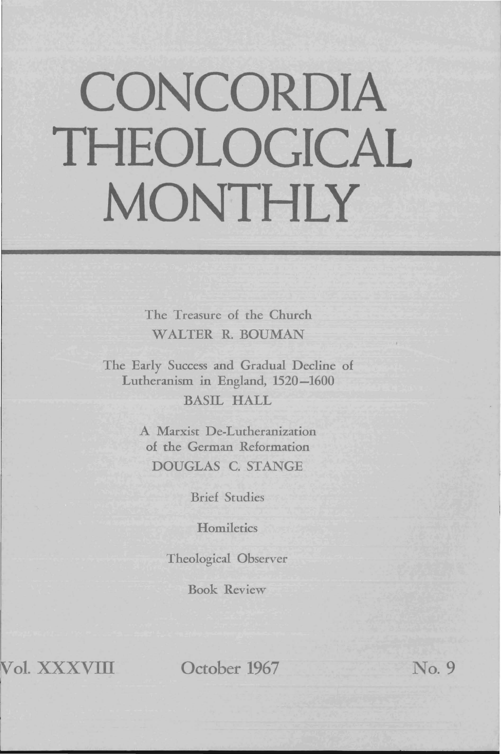# **CONCORDIA THEOLOGICAL MONTHLY**

The Treasure of the Church WALTER R. BOUMAN

The Early Success and Gradual Decline of Lutheranism in England, 1520-1600

BASIL HALL

A Marxist De-Lutheranization of the German Reformation DOUGLAS C. STANGE

Brief Studies

**Homiletics** 

Theological Observer

Book Review

**01. xxxvrn** 

**October 1967** No.9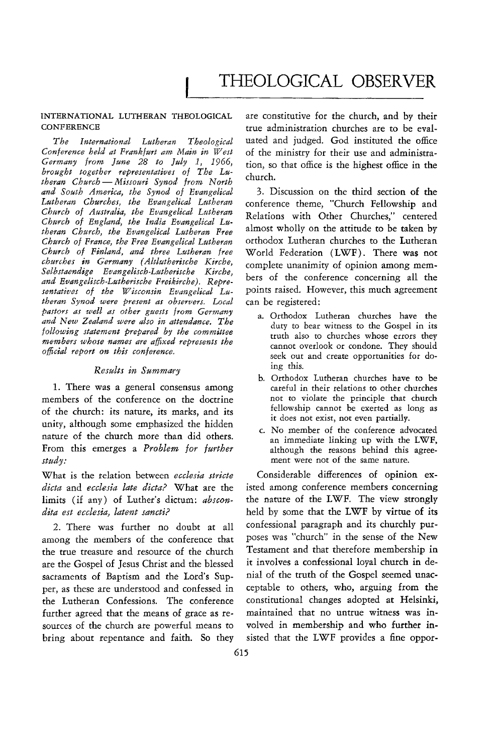## INTERNATIONAL LUTHERAN THEOLOGICAL **CONFERENCE**

*The International Lutheran Theological Conference held at Frankfurt am Main in West Germany from June* 28 *to July* 1, 1966, *brought together representatives of The Luthet'an Church* - *Missouri Synod from North and South America, the Synod of Evangelical*  Lutheran Churches, the Evangelical Lutheran *Church of Australia, the Evangelical Lutheran*  Church of England, the India Evangelical Lu*theran Church, the Evangelical Lutheran Free Church of France, the Free Evangelical Lutheran Church of Finland, and three Lutheran free churches in Germany (Altlutherische Kirche, Selbstaendige Evangelisch-Lutherische Kirche, and Evangelisch-Lutherische Freikirche). Repre*sentatives of the Wisconsin Evangelical Lu*theran Synod were present as observers. Local pastors as welt as other guests from Germany and New Zealand were also in attendance. The following statement prepared by the committee ·members whose names are affixed represents the official report on this conference.* 

# $Results$  in Summary

1. There was a general consensus among members of the conference on the doctrine of the church: its nature, its marks, and its unity, although some emphasized the hidden nature of the church more than did others. From this emerges a *Problem for further study:* 

What is the relation between *ecclesia stricte dicta* and *ecclesia late dicta?* What are the limits (if any) of Luther's dictum: *abscondita est ecclesia, latent saneti?* 

2. There was further no doubt at all among the members of the conference that the true treasure and resource of the church are the Gospel of Jesus Christ and the blessed sacraments of Baptism and the Lord's Supper, as these are understood and confessed in the Lutheran Confessions. The conference further agreed that the means of grace as re- maintained that no untrue witness was insources of the church are powerful means to volved in membership and who further inbring about repentance and faith. So they sisted that the LWF provides a fine oppor-

are constitutive for the church, and by their true administration churches are to be evaluated and judged. God instituted the office of the ministry for their use and administration, so that office is the highest office in the church.

3. Discussion on the third section of the conference theme, "Church Fellowship and Relations with Other Churches," centered almost wholly on the attitude to be taken by orthodox Lutheran churches to the Lutheran World Federation (LWF). There was not complete unanimity of opinion among members of the conference concerning all the points raised. However, this much agreement can be registered:

- a. Orthodox Lutheran churches have the duty to bear witness to the Gospel in its truth also to churches whose errors they cannot overlook or condone. They should seek out and create opportunities for doing this.
- b. Orthodox Lutheran churches have to be careful in their relations to other churches not to violate the principle that church fellowship cannot be exerted as long as it does not exist, not even partially.
- c. No member of the conference advocated an immediate linking up with the LWF, although the reasons behind this agreement were not of the same nature.

Considerable differences of opinion existed among conference members concerning the nature of the LWF. The view strongly held by some that the LWF by virtue of its confessional paragraph and *its* churchly purposes was "church" in the sense of the New Testament and that therefore membership in it involves a confessional loyal church in denial of the truth of the Gospel seemed unacceptable to others, who, arguing from the constitutional changes adopted at Helsinki,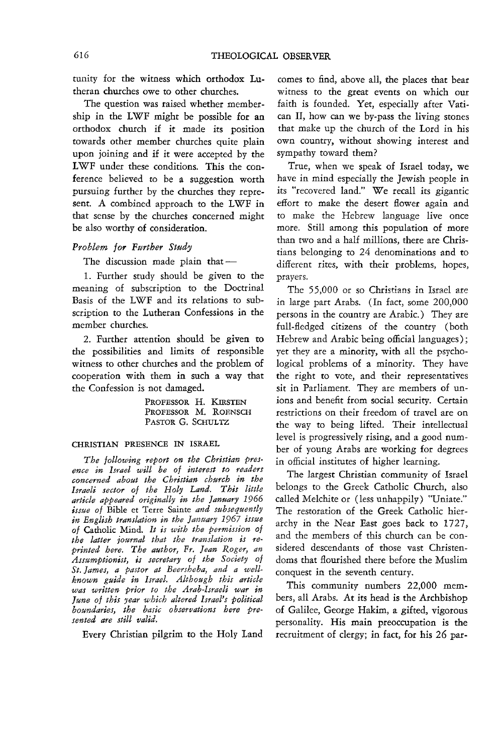tunity for the witness which orthodox Lutheran churches owe to other churches.

The question was raised whether membership in the LWF might be possible for an orthodox church if it made its position towards other member churches quite plain upon joining and if it were accepted by the LWF under these conditions. This the conference believed to be a suggestion worth pursuing further by the churches they represent. A combined approach to the LWF in that sense by the churches concerned might be also worthy of consideration.

### *Problem for Pmther Study*

The discussion made plain that $-$ 

1. Further study should be given to the meaning of subscription to the Doctrinal Basis of the LWF and its relations to subscription to the Lutheran Confessions in the member churches.

2. Further attention should be given to the possibilities and limits of responsible witness to other churches and the problem of cooperation with them in such a way that the Confession is not damaged.

> PROFESSOR H. KIRSTEN *PROFESSOR* M. ROENSCH PASTOR G. SCHULTZ

# CHRISTIAN PRESENCE IN ISRAEL

*The following report on the Christian presence in Israel will be of interest to readers concerned about the Christian church in the Israeli sector of the Holy Land. This little article appeared originally in the January 1966 issue of* Bible et Terre Sainte *and subsequently in English tramlation in the January* 1967 *issue*  0/ Catholic Mind. *It is with the permission 0/ the latter joumal that the translation is reprinted here. The author, Fr. Jean Roger, an Assumptionist, is secretary of the Society of St. James, a pastor at Beersheba, and a wellknown guide in Israel. Although this article was written prior to the Arab-Israeli war in June of this year which altered Israel's political boundaries, the basic observations here presented are still valid.* 

Every Christian pilgrim to the Holy Land

comes to find, above all, the places that bear witness to the great events on which our faith is founded. Yet, especially after Vatican II, how can we by-pass the living stones that make up the church of the Lord in his own country, without showing interest and sympathy toward them?

True, when we speak of Israel today, we have in mind especially the Jewish people in its "recovered land." We recall its gigantic effort to make the desert flower again and to make the Hebrew language live once more. Still among this population of more than two and a half millions, there are Christians belonging to 24 denominations and to different rites, with their problems, hopes, prayers.

The 55,000 or so Christians in Israel are in large part Arabs. (In fact, some 200,000 persons in the country are Arabic.) They are full-fledged citizens of the country (both Hebrew and Arabic being official languages) ; yet they are a minority, with all the psychological problems of a minority. They have the right to vote, and their representatives sit in Parliament. They are members of unions and benefit from social security. Certain restrictions on their freedom of travel are on the way to being lifted. Their intellectual level is progressively rising, and a good number of young Arabs are working for degrees in official institutes of higher learning.

The largest Christian community of Israel belongs to the Greek Catholic Church, also called Melchite or (less unhappily) "Uniate." The restoration of the Greek Catholic hierarchy in the Near East goes back to 1727, and the members of this church can be considered descendants of those vast Christendoms that flourished there before the Muslim conquest in the seventh century.

This community numbers 22,000 members, all Arabs. At *its* head is the Archbishop of Galilee, George Hakim, a gifted, vigorous personality. His main preoccupation is the recruitment of clergy; in fact, for his 26 par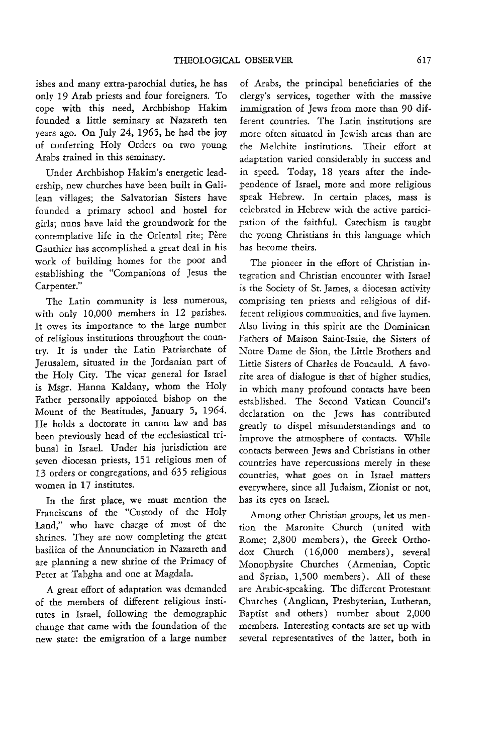ishes and many extra-parochial duties, he has only 19 Arab priests and four foreigners. To cope with this need, Archbishop Hakim founded a little seminary at Nazareth ten years ago. On July 24, 1965, he had the joy of conferring Holy Orders on two young Arabs trained in this seminary.

Under Archbishop Hakim's energetic leadership, new churches have been built in Galilean villages; the Salvatorian Sisters have founded a primary school and hostel for girls; nuns have laid the groundwork for the contemplative life in the Oriental rite; Père Gauthier has accomplished a great deal in his work of building homes for the poor and establishing the "Companions of Jesus the Carpenter."

The Latin community is less numerous, with only 10,000 members in 12 parishes. It owes its importance to the large number of religious institutions throughout the country. It is under the Latin Patriarchate of Jerusalem, situated in the Jordanian part of the Holy City. The vicar general for Israel is Msgr. Hanna Kaldany, whom the Holy Father personally appointed bishop on the Mount of the Beatitudes, January 5, 1964. He holds a doctorate in canon law and has been previously head of the ecclesiastical tribunal in Israel. Under his jurisdiction are seven diocesan priests, 151 religious men of 13 orders or congregations, and 635 religious women in 17 institutes.

In the first place, we must mention the Franciscans of the "Custody of the Holy Land," who have charge of most of the shrines. They are now completing the great basilica of the Annunciation in Nazareth and are planning a new shrine of the Primacy of Peter at Tabgha and one at Magdala.

A great effort of adaptation was demanded of the members of different religious institutes in Israel, following the demographic change that came with the foundation of the new state: the emigration of a large number

of Arabs, the principal beneficiaries of the clergy's services, together with the massive immigration of Jews from more than 90 different countries. The Latin institutions are more often situated in Jewish areas than are the Melchite institutions. Their effort at adaptation varied considerably in success and in speed. Today, 18 years after the independence of Israel, more and more religious speak Hebrew. In certain places, mass is celebrated in Hebrew with the active participation of the faithful. Catechism is taught the young Christians in this language which has become theirs.

The pioneer in the effort of Christian integration and Christian encounter with Israel is the Society of St. James, a diocesan activity comprising ten priests and religious of different religious communities, and five laymen. Also living in this spirit are the Dominican Fathers of Maison Saint-Isaie, the Sisters of Notre Dame de Sion, the Little Brothers and Little Sisters of Charles de Foucauld. A favorite area of dialogue is that of higher studies, in which many profound contacts have been established. The Second Vatican Council's declaration on the Jews has contributed greatly to dispel misunderstandings and to improve the atmosphere of contacts. While contacts between Jews and Christians in other countries have repercussions merely in these countries, what goes on in Israel matters everywhere, since all Judaism, Zionist or not, has its eyes on Israel.

Among other Christian groups, let us mention the Maronite Church ( united with Rome; 2,800 members), the Greek Orthodox Church (16,000 members), several Monophysite Churches (Armenian, Coptic and Syrian, 1,500 members). All of these are Arabic-speaking. The different Protestant Churches (Anglican, Presbyterian, Lutheran, Baptist and others) number about 2,000 members. Interesting contacts are set up with several representatives of the latter, both in